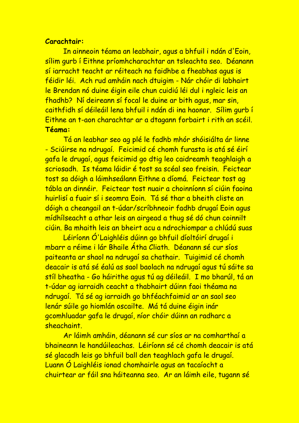## **Carachtair:**

In ainneoin téama an leabhair, agus a bhfuil i ndán d'Eoin, sílim gurb í Eithne príomhcharachtar an tsleachta seo. Déanann sí iarracht teacht ar réiteach na faidhbe a fheabhas agus is féidir léi. Ach rud amháin nach dtuigim - Nár chóir di labhairt le Brendan nó duine éigin eile chun cuidiú léi dul i ngleic leis an fhadhb? Ní deireann sí focal le duine ar bith agus, mar sin, caithfidh sí déileáil lena bhfuil i ndán di ina haonar. Sílim gurb í Eithne an t-aon charachtar ar a dtagann forbairt i rith an scéil. **Téama:**

Tá an leabhar seo ag plé le fadhb mhór shóisiálta ár linne - Sciúirse na ndrugaí. Feicimid cé chomh furasta is atá sé éirí gafa le drugaí, agus feicimid go dtig leo caidreamh teaghlaigh a scriosadh. Is téama láidir é tost sa scéal seo freisin. Feictear tost sa dóigh a láimhseálann Eithne a díomá. Feictear tost ag tábla an dinnéir. Feictear tost nuair a choinníonn sí ciúin faoina huirlisí a fuair sí i seomra Eoin. Tá sé thar a bheith cliste an dóigh a cheangail an t-údar/scríbhneoir fadhb drugaí Eoin agus mídhílseacht a athar leis an airgead a thug sé dó chun coinnilt ciúin. Ba mhaith leis an bheirt acu a ndrochiompar a chlúdú suas

Léiríonn Ó'Laighléis dúinn go bhfuil díoltóirí drugaí i mbarr a réime i lár Bhaile Átha Cliath. Déanann sé cur síos paiteanta ar shaol na ndrugaí sa chathair. Tuigimid cé chomh deacair is atá sé éalú as saol baolach na ndrugaí agus tú sáite sa stíl bheatha - Go háirithe agus tú ag déileáil. I mo bharúl, tá an t-údar ag iarraidh ceacht a thabhairt dúinn faoi théama na ndrugaí. Tá sé ag iarraidh go bhféachfaimid ar an saol seo lenár súile go hiomlán oscailte. Má tá duine éigin inár gcomhluadar gafa le drugaí, níor chóir dúinn an radharc a sheachaint.

Ar láimh amháin, déanann sé cur síos ar na comharthaí a bhaineann le handúileachas. Léiríonn sé cé chomh deacair is atá sé glacadh leis go bhfuil ball den teaghlach gafa le drugaí. Luann Ó Laighléis ionad chomhairle agus an tacaíocht a chuirtear ar fáil sna háiteanna seo. Ar an láimh eile, tugann sé